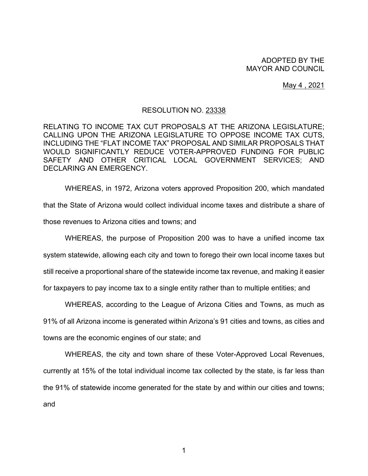## ADOPTED BY THE MAYOR AND COUNCIL

May 4 , 2021

## RESOLUTION NO. 23338

RELATING TO INCOME TAX CUT PROPOSALS AT THE ARIZONA LEGISLATURE; CALLING UPON THE ARIZONA LEGISLATURE TO OPPOSE INCOME TAX CUTS, INCLUDING THE "FLAT INCOME TAX" PROPOSAL AND SIMILAR PROPOSALS THAT WOULD SIGNIFICANTLY REDUCE VOTER-APPROVED FUNDING FOR PUBLIC SAFETY AND OTHER CRITICAL LOCAL GOVERNMENT SERVICES; AND DECLARING AN EMERGENCY.

WHEREAS, in 1972, Arizona voters approved Proposition 200, which mandated that the State of Arizona would collect individual income taxes and distribute a share of those revenues to Arizona cities and towns; and

WHEREAS, the purpose of Proposition 200 was to have a unified income tax system statewide, allowing each city and town to forego their own local income taxes but still receive a proportional share of the statewide income tax revenue, and making it easier for taxpayers to pay income tax to a single entity rather than to multiple entities; and

WHEREAS, according to the League of Arizona Cities and Towns, as much as 91% of all Arizona income is generated within Arizona's 91 cities and towns, as cities and towns are the economic engines of our state; and

WHEREAS, the city and town share of these Voter-Approved Local Revenues, currently at 15% of the total individual income tax collected by the state, is far less than the 91% of statewide income generated for the state by and within our cities and towns; and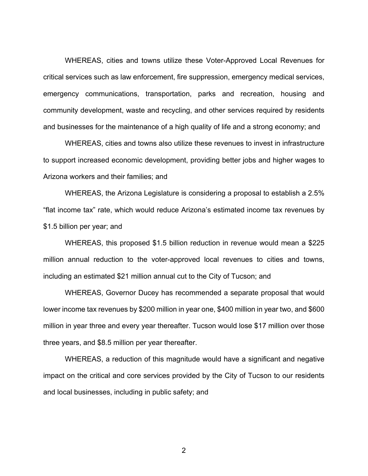WHEREAS, cities and towns utilize these Voter-Approved Local Revenues for critical services such as law enforcement, fire suppression, emergency medical services, emergency communications, transportation, parks and recreation, housing and community development, waste and recycling, and other services required by residents and businesses for the maintenance of a high quality of life and a strong economy; and

WHEREAS, cities and towns also utilize these revenues to invest in infrastructure to support increased economic development, providing better jobs and higher wages to Arizona workers and their families; and

WHEREAS, the Arizona Legislature is considering a proposal to establish a 2.5% "flat income tax" rate, which would reduce Arizona's estimated income tax revenues by \$1.5 billion per year; and

WHEREAS, this proposed \$1.5 billion reduction in revenue would mean a \$225 million annual reduction to the voter-approved local revenues to cities and towns, including an estimated \$21 million annual cut to the City of Tucson; and

WHEREAS, Governor Ducey has recommended a separate proposal that would lower income tax revenues by \$200 million in year one, \$400 million in year two, and \$600 million in year three and every year thereafter. Tucson would lose \$17 million over those three years, and \$8.5 million per year thereafter.

WHEREAS, a reduction of this magnitude would have a significant and negative impact on the critical and core services provided by the City of Tucson to our residents and local businesses, including in public safety; and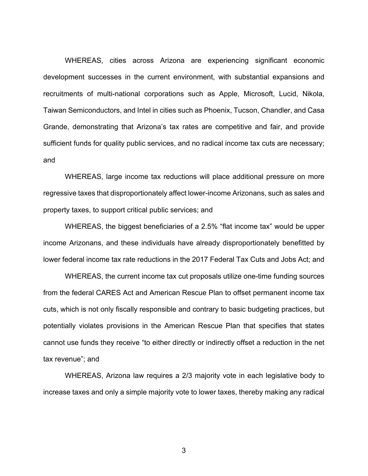WHEREAS, cities across Arizona are experiencing significant economic development successes in the current environment, with substantial expansions and recruitments of multi-national corporations such as Apple, Microsoft, Lucid, Nikola, Taiwan Semiconductors, and Intel in cities such as Phoenix, Tucson, Chandler, and Casa Grande, demonstrating that Arizona's tax rates are competitive and fair, and provide sufficient funds for quality public services, and no radical income tax cuts are necessary; and

WHEREAS, large income tax reductions will place additional pressure on more regressive taxes that disproportionately affect lower-income Arizonans, such as sales and property taxes, to support critical public services; and

WHEREAS, the biggest beneficiaries of a 2.5% "flat income tax" would be upper income Arizonans, and these individuals have already disproportionately benefitted by lower federal income tax rate reductions in the 2017 Federal Tax Cuts and Jobs Act; and

WHEREAS, the current income tax cut proposals utilize one-time funding sources from the federal CARES Act and American Rescue Plan to offset permanent income tax cuts, which is not only fiscally responsible and contrary to basic budgeting practices, but potentially violates provisions in the American Rescue Plan that specifies that states cannot use funds they receive "to either directly or indirectly offset a reduction in the net tax revenue"; and

WHEREAS, Arizona law requires a 2/3 majority vote in each legislative body to increase taxes and only a simple majority vote to lower taxes, thereby making any radical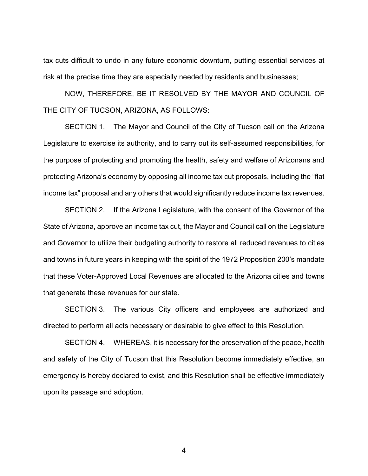tax cuts difficult to undo in any future economic downturn, putting essential services at risk at the precise time they are especially needed by residents and businesses;

NOW, THEREFORE, BE IT RESOLVED BY THE MAYOR AND COUNCIL OF THE CITY OF TUCSON, ARIZONA, AS FOLLOWS:

SECTION 1. The Mayor and Council of the City of Tucson call on the Arizona Legislature to exercise its authority, and to carry out its self-assumed responsibilities, for the purpose of protecting and promoting the health, safety and welfare of Arizonans and protecting Arizona's economy by opposing all income tax cut proposals, including the "flat income tax" proposal and any others that would significantly reduce income tax revenues.

SECTION 2. If the Arizona Legislature, with the consent of the Governor of the State of Arizona, approve an income tax cut, the Mayor and Council call on the Legislature and Governor to utilize their budgeting authority to restore all reduced revenues to cities and towns in future years in keeping with the spirit of the 1972 Proposition 200's mandate that these Voter-Approved Local Revenues are allocated to the Arizona cities and towns that generate these revenues for our state.

SECTION 3. The various City officers and employees are authorized and directed to perform all acts necessary or desirable to give effect to this Resolution.

SECTION 4. WHEREAS, it is necessary for the preservation of the peace, health and safety of the City of Tucson that this Resolution become immediately effective, an emergency is hereby declared to exist, and this Resolution shall be effective immediately upon its passage and adoption.